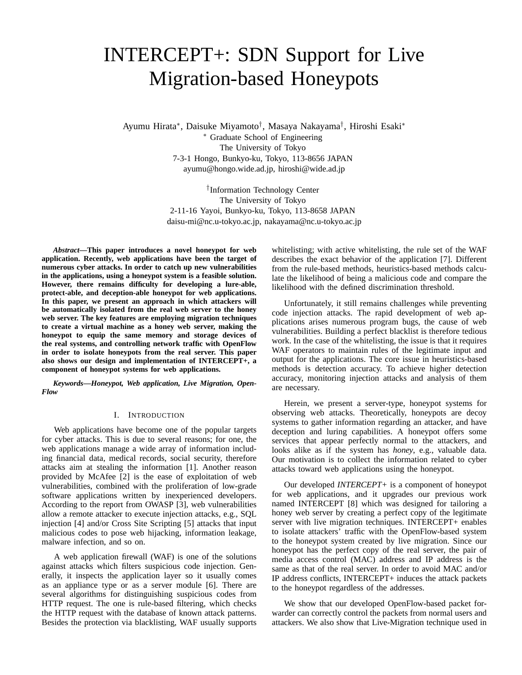# INTERCEPT+: SDN Support for Live Migration-based Honeypots

Ayumu Hirata*∗* , Daisuke Miyamoto*†* , Masaya Nakayama*†* , Hiroshi Esaki*∗ ∗* Graduate School of Engineering The University of Tokyo 7-3-1 Hongo, Bunkyo-ku, Tokyo, 113-8656 JAPAN ayumu@hongo.wide.ad.jp, hiroshi@wide.ad.jp

> *†* Information Technology Center The University of Tokyo 2-11-16 Yayoi, Bunkyo-ku, Tokyo, 113-8658 JAPAN daisu-mi@nc.u-tokyo.ac.jp, nakayama@nc.u-tokyo.ac.jp

*Abstract***—This paper introduces a novel honeypot for web application. Recently, web applications have been the target of numerous cyber attacks. In order to catch up new vulnerabilities in the applications, using a honeypot system is a feasible solution. However, there remains difficulty for developing a lure-able, protect-able, and deception-able honeypot for web applications. In this paper, we present an approach in which attackers will be automatically isolated from the real web server to the honey web server. The key features are employing migration techniques to create a virtual machine as a honey web server, making the honeypot to equip the same memory and storage devices of the real systems, and controlling network traffic with OpenFlow in order to isolate honeypots from the real server. This paper also shows our design and implementation of INTERCEPT+, a component of honeypot systems for web applications.**

*Keywords***—***Honeypot, Web application, Live Migration, Open-Flow*

#### I. INTRODUCTION

Web applications have become one of the popular targets for cyber attacks. This is due to several reasons; for one, the web applications manage a wide array of information including financial data, medical records, social security, therefore attacks aim at stealing the information [1]. Another reason provided by McAfee [2] is the ease of exploitation of web vulnerabilities, combined with the proliferation of low-grade software applications written by inexperienced developers. According to the report from OWASP [3], web vulnerabilities allow a remote attacker to execute injection attacks, e.g., SQL injection [4] and/or Cross Site Scripting [5] attacks that input malicious codes to pose web hijacking, information leakage, malware infection, and so on.

A web application firewall (WAF) is one of the solutions against attacks which filters suspicious code injection. Generally, it inspects the application layer so it usually comes as an appliance type or as a server module [6]. There are several algorithms for distinguishing suspicious codes from HTTP request. The one is rule-based filtering, which checks the HTTP request with the database of known attack patterns. Besides the protection via blacklisting, WAF usually supports whitelisting; with active whitelisting, the rule set of the WAF describes the exact behavior of the application [7]. Different from the rule-based methods, heuristics-based methods calculate the likelihood of being a malicious code and compare the likelihood with the defined discrimination threshold.

Unfortunately, it still remains challenges while preventing code injection attacks. The rapid development of web applications arises numerous program bugs, the cause of web vulnerabilities. Building a perfect blacklist is therefore tedious work. In the case of the whitelisting, the issue is that it requires WAF operators to maintain rules of the legitimate input and output for the applications. The core issue in heuristics-based methods is detection accuracy. To achieve higher detection accuracy, monitoring injection attacks and analysis of them are necessary.

Herein, we present a server-type, honeypot systems for observing web attacks. Theoretically, honeypots are decoy systems to gather information regarding an attacker, and have deception and luring capabilities. A honeypot offers some services that appear perfectly normal to the attackers, and looks alike as if the system has *honey*, e.g., valuable data. Our motivation is to collect the information related to cyber attacks toward web applications using the honeypot.

Our developed *INTERCEPT+* is a component of honeypot for web applications, and it upgrades our previous work named INTERCEPT [8] which was designed for tailoring a honey web server by creating a perfect copy of the legitimate server with live migration techniques. INTERCEPT+ enables to isolate attackers' traffic with the OpenFlow-based system to the honeypot system created by live migration. Since our honeypot has the perfect copy of the real server, the pair of media access control (MAC) address and IP address is the same as that of the real server. In order to avoid MAC and/or IP address conflicts, INTERCEPT+ induces the attack packets to the honeypot regardless of the addresses.

We show that our developed OpenFlow-based packet forwarder can correctly control the packets from normal users and attackers. We also show that Live-Migration technique used in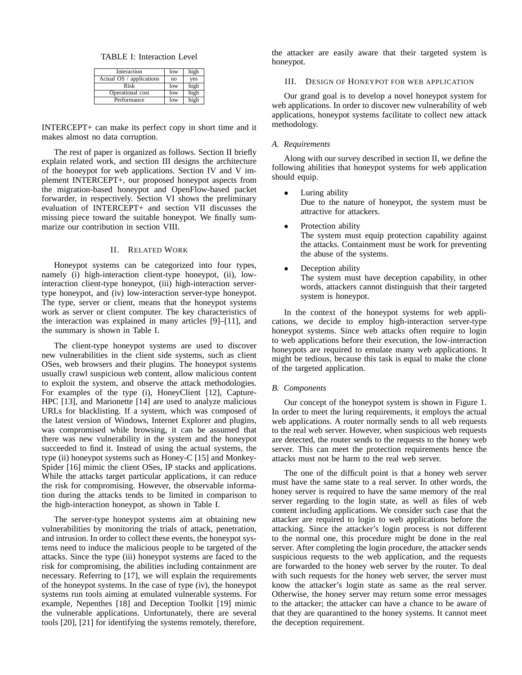TABLE I: Interaction Level

| Interaction              | low | high |
|--------------------------|-----|------|
| Actual OS / applications | no  | yes  |
| Risk                     | low | high |
| Operational cost         | low | high |
| Performance              | low | high |

INTERCEPT+ can make its perfect copy in short time and it makes almost no data corruption.

The rest of paper is organized as follows. Section II briefly explain related work, and section III designs the architecture of the honeypot for web applications. Section IV and V implement INTERCEPT+, our proposed honeypot aspects from the migration-based honeypot and OpenFlow-based packet forwarder, in respectively. Section VI shows the preliminary evaluation of INTERCEPT+ and section VII discusses the missing piece toward the suitable honeypot. We finally summarize our contribution in section VIII.

#### II. RELATED WORK

Honeypot systems can be categorized into four types, namely (i) high-interaction client-type honeypot, (ii), lowinteraction client-type honeypot, (iii) high-interaction servertype honeypot, and (iv) low-interaction server-type honeypot. The type, server or client, means that the honeypot systems work as server or client computer. The key characteristics of the interaction was explained in many articles [9]–[11], and the summary is shown in Table I.

The client-type honeypot systems are used to discover new vulnerabilities in the client side systems, such as client OSes, web browsers and their plugins. The honeypot systems usually crawl suspicious web content, allow malicious content to exploit the system, and observe the attack methodologies. For examples of the type (i), HoneyClient [12], Capture-HPC [13], and Marionette [14] are used to analyze malicious URLs for blacklisting. If a system, which was composed of the latest version of Windows, Internet Explorer and plugins, was compromised while browsing, it can be assumed that there was new vulnerability in the system and the honeypot succeeded to find it. Instead of using the actual systems, the type (ii) honeypot systems such as Honey-C [15] and Monkey-Spider [16] mimic the client OSes, IP stacks and applications. While the attacks target particular applications, it can reduce the risk for compromising. However, the observable information during the attacks tends to be limited in comparison to the high-interaction honeypot, as shown in Table I.

The server-type honeypot systems aim at obtaining new vulnerabilities by monitoring the trials of attack, penetration, and intrusion. In order to collect these events, the honeypot systems need to induce the malicious people to be targeted of the attacks. Since the type (iii) honeypot systems are faced to the risk for compromising, the abilities including containment are necessary. Referring to [17], we will explain the requirements of the honeypot systems. In the case of type (iv), the honeypot systems run tools aiming at emulated vulnerable systems. For example, Nepenthes [18] and Deception Toolkit [19] mimic the vulnerable applications. Unfortunately, there are several tools [20], [21] for identifying the systems remotely, therefore, the attacker are easily aware that their targeted system is honeypot.

# III. DESIGN OF HONEYPOT FOR WEB APPLICATION

Our grand goal is to develop a novel honeypot system for web applications. In order to discover new vulnerability of web applications, honeypot systems facilitate to collect new attack methodology.

# *A. Requirements*

Along with our survey described in section II, we define the following abilities that honeypot systems for web application should equip.

- *•* Luring ability Due to the nature of honeypot, the system must be attractive for attackers.
- *•* Protection ability The system must equip protection capability against the attacks. Containment must be work for preventing the abuse of the systems.
- *•* Deception ability The system must have deception capability, in other words, attackers cannot distinguish that their targeted system is honeypot.

In the context of the honeypot systems for web applications, we decide to employ high-interaction server-type honeypot systems. Since web attacks often require to login to web applications before their execution, the low-interaction honeypots are required to emulate many web applications. It might be tedious, because this task is equal to make the clone of the targeted application.

### *B. Components*

Our concept of the honeypot system is shown in Figure 1. In order to meet the luring requirements, it employs the actual web applications. A router normally sends to all web requests to the real web server. However, when suspicious web requests are detected, the router sends to the requests to the honey web server. This can meet the protection requirements hence the attacks must not be harm to the real web server.

The one of the difficult point is that a honey web server must have the same state to a real server. In other words, the honey server is required to have the same memory of the real server regarding to the login state, as well as files of web content including applications. We consider such case that the attacker are required to login to web applications before the attacking. Since the attacker's login process is not different to the normal one, this procedure might be done in the real server. After completing the login procedure, the attacker sends suspicious requests to the web application, and the requests are forwarded to the honey web server by the router. To deal with such requests for the honey web server, the server must know the attacker's login state as same as the real server. Otherwise, the honey server may return some error messages to the attacker; the attacker can have a chance to be aware of that they are quarantined to the honey systems. It cannot meet the deception requirement.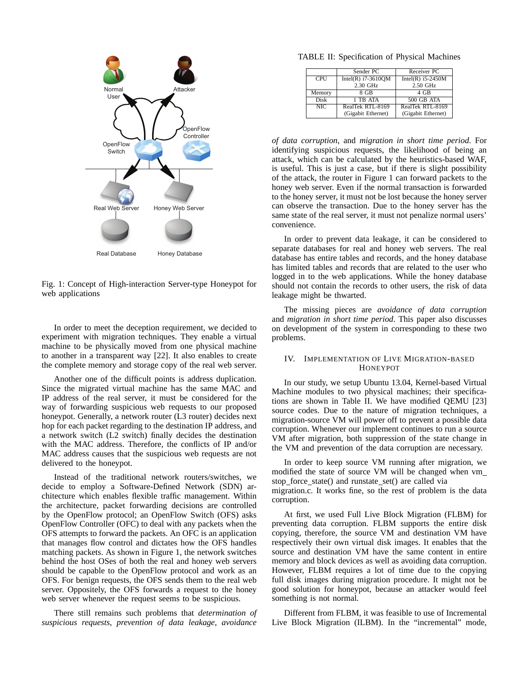

Fig. 1: Concept of High-interaction Server-type Honeypot for web applications

In order to meet the deception requirement, we decided to experiment with migration techniques. They enable a virtual machine to be physically moved from one physical machine to another in a transparent way [22]. It also enables to create the complete memory and storage copy of the real web server.

Another one of the difficult points is address duplication. Since the migrated virtual machine has the same MAC and IP address of the real server, it must be considered for the way of forwarding suspicious web requests to our proposed honeypot. Generally, a network router (L3 router) decides next hop for each packet regarding to the destination IP address, and a network switch (L2 switch) finally decides the destination with the MAC address. Therefore, the conflicts of IP and/or MAC address causes that the suspicious web requests are not delivered to the honeypot.

Instead of the traditional network routers/switches, we decide to employ a Software-Defined Network (SDN) architecture which enables flexible traffic management. Within the architecture, packet forwarding decisions are controlled by the OpenFlow protocol; an OpenFlow Switch (OFS) asks OpenFlow Controller (OFC) to deal with any packets when the OFS attempts to forward the packets. An OFC is an application that manages flow control and dictates how the OFS handles matching packets. As shown in Figure 1, the network switches behind the host OSes of both the real and honey web servers should be capable to the OpenFlow protocol and work as an OFS. For benign requests, the OFS sends them to the real web server. Oppositely, the OFS forwards a request to the honey web server whenever the request seems to be suspicious.

There still remains such problems that *determination of suspicious requests*, *prevention of data leakage*, *avoidance*

TABLE II: Specification of Physical Machines

|            | Sender PC            | Receiver PC         |
|------------|----------------------|---------------------|
| <b>CPU</b> | Intel(R) $i7-36100M$ | Intel(R) $i5-2450M$ |
|            | 2.30 GHz             | 2.50 GHz            |
| Memory     | 8 GB                 | 4 GB                |
| Disk       | 1 TR ATA             | 500 GB ATA          |
| NIC.       | RealTek RTL-8169     | RealTek RTL-8169    |
|            | (Gigabit Ethernet)   | (Gigabit Ethernet)  |

*of data corruption*, and *migration in short time period*. For identifying suspicious requests, the likelihood of being an attack, which can be calculated by the heuristics-based WAF, is useful. This is just a case, but if there is slight possibility of the attack, the router in Figure 1 can forward packets to the honey web server. Even if the normal transaction is forwarded to the honey server, it must not be lost because the honey server can observe the transaction. Due to the honey server has the same state of the real server, it must not penalize normal users' convenience.

In order to prevent data leakage, it can be considered to separate databases for real and honey web servers. The real database has entire tables and records, and the honey database has limited tables and records that are related to the user who logged in to the web applications. While the honey database should not contain the records to other users, the risk of data leakage might be thwarted.

The missing pieces are *avoidance of data corruption* and *migration in short time period*. This paper also discusses on development of the system in corresponding to these two problems.

# IV. IMPLEMENTATION OF LIVE MIGRATION-BASED HONEYPOT

In our study, we setup Ubuntu 13.04, Kernel-based Virtual Machine modules to two physical machines; their specifications are shown in Table II. We have modified QEMU [23] source codes. Due to the nature of migration techniques, a migration-source VM will power off to prevent a possible data corruption. Whenever our implement continues to run a source VM after migration, both suppression of the state change in the VM and prevention of the data corruption are necessary.

In order to keep source VM running after migration, we modified the state of source VM will be changed when vm stop force state() and runstate set() are called via migration.c. It works fine, so the rest of problem is the data corruption.

At first, we used Full Live Block Migration (FLBM) for preventing data corruption. FLBM supports the entire disk copying, therefore, the source VM and destination VM have respectively their own virtual disk images. It enables that the source and destination VM have the same content in entire memory and block devices as well as avoiding data corruption. However, FLBM requires a lot of time due to the copying full disk images during migration procedure. It might not be good solution for honeypot, because an attacker would feel something is not normal.

Different from FLBM, it was feasible to use of Incremental Live Block Migration (ILBM). In the "incremental" mode,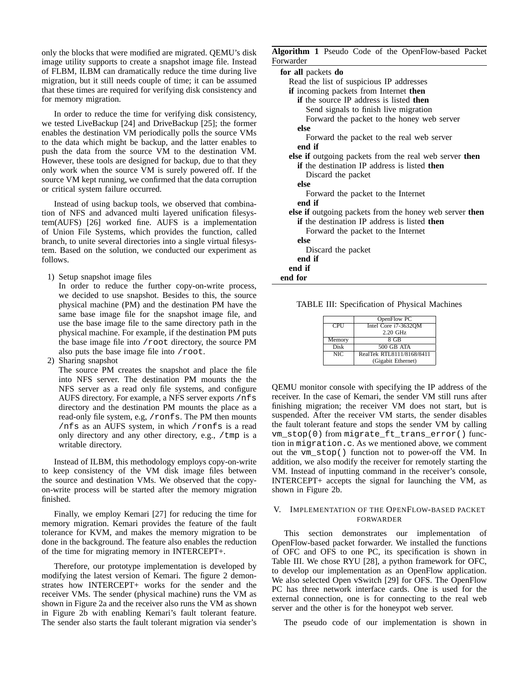only the blocks that were modified are migrated. QEMU's disk image utility supports to create a snapshot image file. Instead of FLBM, ILBM can dramatically reduce the time during live migration, but it still needs couple of time; it can be assumed that these times are required for verifying disk consistency and for memory migration.

In order to reduce the time for verifying disk consistency, we tested LiveBackup [24] and DriveBackup [25]; the former enables the destination VM periodically polls the source VMs to the data which might be backup, and the latter enables to push the data from the source VM to the destination VM. However, these tools are designed for backup, due to that they only work when the source VM is surely powered off. If the source VM kept running, we confirmed that the data corruption or critical system failure occurred.

Instead of using backup tools, we observed that combination of NFS and advanced multi layered unification filesystem(AUFS) [26] worked fine. AUFS is a implementation of Union File Systems, which provides the function, called branch, to unite several directories into a single virtual filesystem. Based on the solution, we conducted our experiment as follows.

1) Setup snapshot image files

In order to reduce the further copy-on-write process, we decided to use snapshot. Besides to this, the source physical machine (PM) and the destination PM have the same base image file for the snapshot image file, and use the base image file to the same directory path in the physical machine. For example, if the destination PM puts the base image file into /root directory, the source PM also puts the base image file into /root.

2) Sharing snapshot

The source PM creates the snapshot and place the file into NFS server. The destination PM mounts the the NFS server as a read only file systems, and configure AUFS directory. For example, a NFS server exports /nfs directory and the destination PM mounts the place as a read-only file system, e.g, /ronfs. The PM then mounts /nfs as an AUFS system, in which /ronfs is a read only directory and any other directory, e.g., /tmp is a writable directory.

Instead of ILBM, this methodology employs copy-on-write to keep consistency of the VM disk image files between the source and destination VMs. We observed that the copyon-write process will be started after the memory migration finished.

Finally, we employ Kemari [27] for reducing the time for memory migration. Kemari provides the feature of the fault tolerance for KVM, and makes the memory migration to be done in the background. The feature also enables the reduction of the time for migrating memory in INTERCEPT+.

Therefore, our prototype implementation is developed by modifying the latest version of Kemari. The figure 2 demonstrates how INTERCEPT+ works for the sender and the receiver VMs. The sender (physical machine) runs the VM as shown in Figure 2a and the receiver also runs the VM as shown in Figure 2b with enabling Kemari's fault tolerant feature. The sender also starts the fault tolerant migration via sender's

|           |  |  | Algorithm 1 Pseudo Code of the OpenFlow-based Packet |  |
|-----------|--|--|------------------------------------------------------|--|
| Forwarder |  |  |                                                      |  |

TABLE III: Specification of Physical Machines

|             | OpenFlow PC               |
|-------------|---------------------------|
| <b>CPU</b>  | Intel Core i7-3632QM      |
|             | 2.20 GHz                  |
| Memory      | 8 GB                      |
| <b>Disk</b> | 500 GB ATA                |
| NIC.        | RealTek RTL8111/8168/8411 |
|             | (Gigabit Ethernet)        |

QEMU monitor console with specifying the IP address of the receiver. In the case of Kemari, the sender VM still runs after finishing migration; the receiver VM does not start, but is suspended. After the receiver VM starts, the sender disables the fault tolerant feature and stops the sender VM by calling  $vm\$  stop(0) from migrate  $ft\$  trans  $error()$  function in migration.c. As we mentioned above, we comment out the vm\_stop() function not to power-off the VM. In addition, we also modify the receiver for remotely starting the VM. Instead of inputting command in the receiver's console, INTERCEPT+ accepts the signal for launching the VM, as shown in Figure 2b.

# V. IMPLEMENTATION OF THE OPENFLOW-BASED PACKET FORWARDER

This section demonstrates our implementation of OpenFlow-based packet forwarder. We installed the functions of OFC and OFS to one PC, its specification is shown in Table III. We chose RYU [28], a python framework for OFC, to develop our implementation as an OpenFlow application. We also selected Open vSwitch [29] for OFS. The OpenFlow PC has three network interface cards. One is used for the external connection, one is for connecting to the real web server and the other is for the honeypot web server.

The pseudo code of our implementation is shown in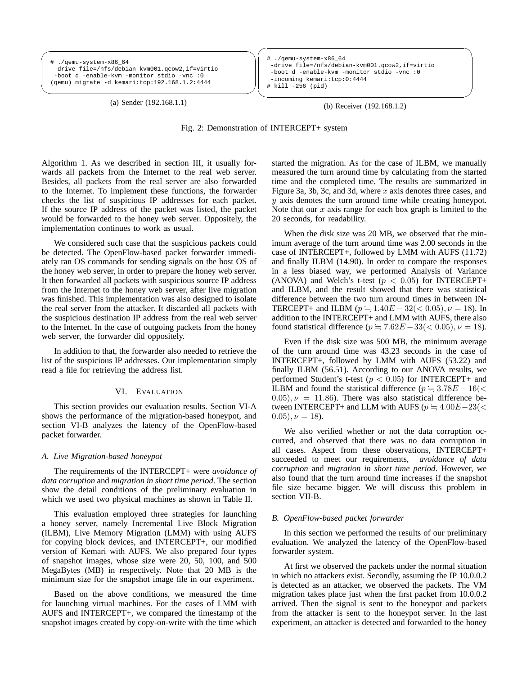| # ./qemu-system-x86 64<br>-drive file=/nfs/debian-kvm001.gcow2.if=virtio<br>-boot d -enable-kym -monitor stdio -ync: 0<br>(gemu) migrate -d kemari:tcp:192.168.1.2:4444 | # ./qemu-system-x86 64<br>-drive file=/nfs/debian-kvm001.gcow2.if=virtio<br>-boot d -enable-kym -monitor stdio -ync: 0<br>$-incoming$ kemari: $top:0:4444$<br># kill -256 (pid) |
|-------------------------------------------------------------------------------------------------------------------------------------------------------------------------|---------------------------------------------------------------------------------------------------------------------------------------------------------------------------------|
| (100.150.11)<br>$\sim$ $\sim$                                                                                                                                           |                                                                                                                                                                                 |

(a) Sender (192.168.1.1)

(b) Receiver (192.168.1.2)

 $\sqrt{2\pi i}$ 

Fig. 2: Demonstration of INTERCEPT+ system

Algorithm 1. As we described in section III, it usually forwards all packets from the Internet to the real web server. Besides, all packets from the real server are also forwarded to the Internet. To implement these functions, the forwarder checks the list of suspicious IP addresses for each packet. If the source IP address of the packet was listed, the packet would be forwarded to the honey web server. Oppositely, the implementation continues to work as usual.

We considered such case that the suspicious packets could be detected. The OpenFlow-based packet forwarder immediately ran OS commands for sending signals on the host OS of the honey web server, in order to prepare the honey web server. It then forwarded all packets with suspicious source IP address from the Internet to the honey web server, after live migration was finished. This implementation was also designed to isolate the real server from the attacker. It discarded all packets with the suspicious destination IP address from the real web server to the Internet. In the case of outgoing packets from the honey web server, the forwarder did oppositely.

In addition to that, the forwarder also needed to retrieve the list of the suspicious IP addresses. Our implementation simply read a file for retrieving the address list.

# VI. EVALUATION

This section provides our evaluation results. Section VI-A shows the performance of the migration-based honeypot, and section VI-B analyzes the latency of the OpenFlow-based packet forwarder.

# *A. Live Migration-based honeypot*

The requirements of the INTERCEPT+ were *avoidance of data corruption* and *migration in short time period*. The section show the detail conditions of the preliminary evaluation in which we used two physical machines as shown in Table II.

This evaluation employed three strategies for launching a honey server, namely Incremental Live Block Migration (ILBM), Live Memory Migration (LMM) with using AUFS for copying block devices, and INTERCEPT+, our modified version of Kemari with AUFS. We also prepared four types of snapshot images, whose size were 20, 50, 100, and 500 MegaBytes (MB) in respectively. Note that 20 MB is the minimum size for the snapshot image file in our experiment.

Based on the above conditions, we measured the time for launching virtual machines. For the cases of LMM with AUFS and INTERCEPT+, we compared the timestamp of the snapshot images created by copy-on-write with the time which started the migration. As for the case of ILBM, we manually measured the turn around time by calculating from the started time and the completed time. The results are summarized in Figure 3a, 3b, 3c, and 3d, where *x* axis denotes three cases, and *y* axis denotes the turn around time while creating honeypot. Note that our *x* axis range for each box graph is limited to the 20 seconds, for readability.

When the disk size was 20 MB, we observed that the minimum average of the turn around time was 2.00 seconds in the case of INTERCEPT+, followed by LMM with AUFS (11.72) and finally ILBM (14.90). In order to compare the responses in a less biased way, we performed Analysis of Variance (ANOVA) and Welch's t-test ( $p < 0.05$ ) for INTERCEPT+ and ILBM, and the result showed that there was statistical difference between the two turn around times in between IN-TERCEPT+ and ILBM ( $p = 1.40E - 32 \leq 0.05$ ),  $\nu = 18$ ). In addition to the INTERCEPT+ and LMM with AUFS, there also found statistical difference ( $p = 7.62E - 33$ ( $< 0.05$ ),  $\nu = 18$ ).

Even if the disk size was 500 MB, the minimum average of the turn around time was 43.23 seconds in the case of INTERCEPT+, followed by LMM with AUFS (53.22) and finally ILBM (56.51). According to our ANOVA results, we performed Student's t-test (*p <* 0*.*05) for INTERCEPT+ and ILBM and found the statistical difference ( $p = 3.78E - 16$ (<  $(0.05)$ ,  $\nu = 11.86$ . There was also statistical difference between INTERCEPT+ and LLM with AUFS  $(p = 4.00E - 23)$  <  $(0.05)$ *,*  $\nu = 18$ ).

We also verified whether or not the data corruption occurred, and observed that there was no data corruption in all cases. Aspect from these observations, INTERCEPT+ succeeded to meet our requirements, *avoidance of data corruption* and *migration in short time period*. However, we also found that the turn around time increases if the snapshot file size became bigger. We will discuss this problem in section VII-B.

# *B. OpenFlow-based packet forwarder*

In this section we performed the results of our preliminary evaluation. We analyzed the latency of the OpenFlow-based forwarder system.

At first we observed the packets under the normal situation in which no attackers exist. Secondly, assuming the IP 10.0.0.2 is detected as an attacker, we observed the packets. The VM migration takes place just when the first packet from 10.0.0.2 arrived. Then the signal is sent to the honeypot and packets from the attacker is sent to the honeypot server. In the last experiment, an attacker is detected and forwarded to the honey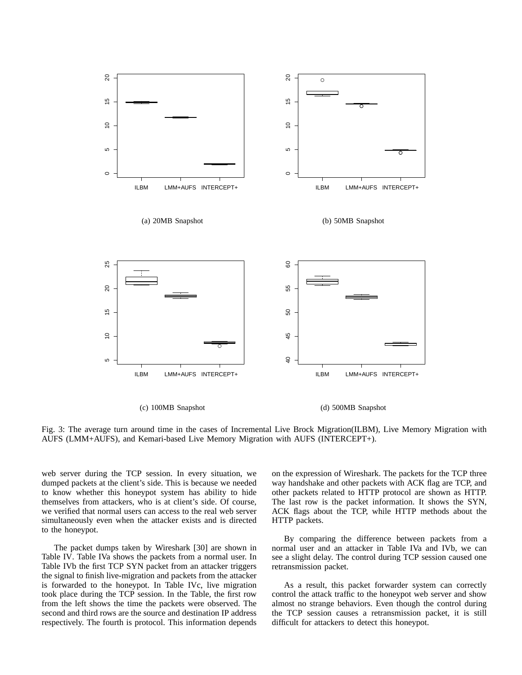

Fig. 3: The average turn around time in the cases of Incremental Live Brock Migration(ILBM), Live Memory Migration with AUFS (LMM+AUFS), and Kemari-based Live Memory Migration with AUFS (INTERCEPT+).

web server during the TCP session. In every situation, we dumped packets at the client's side. This is because we needed to know whether this honeypot system has ability to hide themselves from attackers, who is at client's side. Of course, we verified that normal users can access to the real web server simultaneously even when the attacker exists and is directed to the honeypot.

The packet dumps taken by Wireshark [30] are shown in Table IV. Table IVa shows the packets from a normal user. In Table IVb the first TCP SYN packet from an attacker triggers the signal to finish live-migration and packets from the attacker is forwarded to the honeypot. In Table IVc, live migration took place during the TCP session. In the Table, the first row from the left shows the time the packets were observed. The second and third rows are the source and destination IP address respectively. The fourth is protocol. This information depends

on the expression of Wireshark. The packets for the TCP three way handshake and other packets with ACK flag are TCP, and other packets related to HTTP protocol are shown as HTTP. The last row is the packet information. It shows the SYN, ACK flags about the TCP, while HTTP methods about the HTTP packets.

By comparing the difference between packets from a normal user and an attacker in Table IVa and IVb, we can see a slight delay. The control during TCP session caused one retransmission packet.

As a result, this packet forwarder system can correctly control the attack traffic to the honeypot web server and show almost no strange behaviors. Even though the control during the TCP session causes a retransmission packet, it is still difficult for attackers to detect this honeypot.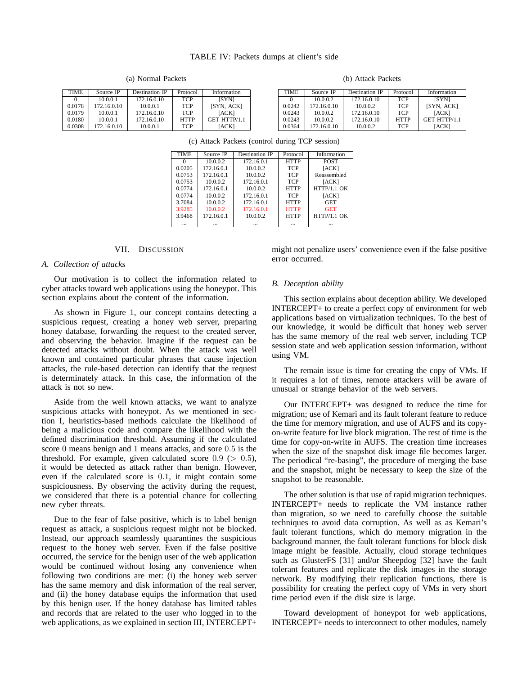(a) Normal Packets

| TIME   | Source IP   | Destination IP | Protocol | Information  | <b>TIME</b> | Source IP   | Destination IP | Protocol    | Information  |
|--------|-------------|----------------|----------|--------------|-------------|-------------|----------------|-------------|--------------|
|        | 10.0.0.1    | 172.16.0.10    | TCP      | [SYN]        |             | 10.0.0.2    | 172.16.0.10    | TCP         | <b>ISYN1</b> |
| 0.0178 | 72.16.0.10  | 10.0.0.1       | TCP      | [SYN, ACK]   | 0.0242      | 172.16.0.10 | 10.0.0.2       | TCP         | ISYN. ACKI   |
| 0.0179 | 10.0.0.1    | 172.16.0.10    | TCP      | [ACK]        | 0.0243      | 10.0.0.2    | 172.16.0.10    | TCP         | [ACK]        |
| 0.0180 | 10.0.0.1    | 172.16.0.10    | HTTP     | GET HTTP/1.1 | 0.0243      | 10.0.0.2    | 172.16.0.10    | <b>HTTP</b> | GET HTTP/1.1 |
| 0.0308 | 172.16.0.10 | 10.0.0.1       | TCP      | ACK1         | 0.0364      | 172.16.0.10 | 10.0.0.2       | TCP         | [ACK]        |

(c) Attack Packets (control during TCP session)

| <b>TIME</b> | Source IP  | <b>Destination IP</b> | Protocol    | Information   |
|-------------|------------|-----------------------|-------------|---------------|
|             | 10.0.0.2   | 172.16.0.1            | <b>HTTP</b> | <b>POST</b>   |
| 0.0205      | 172.16.0.1 | 10.0.0.2              | <b>TCP</b>  | [ACK]         |
| 0.0753      | 172.16.0.1 | 10.0.0.2              | <b>TCP</b>  | Reassembled   |
| 0.0753      | 10.0.0.2   | 172.16.0.1            | <b>TCP</b>  | [ACK]         |
| 0.0774      | 172.16.0.1 | 10.0.0.2              | <b>HTTP</b> | $HTTP/1.1$ OK |
| 0.0774      | 10.0.0.2   | 172.16.0.1            | <b>TCP</b>  | [ACK]         |
| 3.7084      | 10.0.0.2   | 172.16.0.1            | <b>HTTP</b> | <b>GET</b>    |
| 3.9285      | 10.0.0.2   | 172.16.0.1            | <b>HTTP</b> | <b>GET</b>    |
| 3.9468      | 172.16.0.1 | 10.0.0.2              | <b>HTTP</b> | $HTTP/1.1$ OK |
|             |            |                       |             |               |

#### VII. DISCUSSION

#### *A. Collection of attacks*

Our motivation is to collect the information related to cyber attacks toward web applications using the honeypot. This section explains about the content of the information.

As shown in Figure 1, our concept contains detecting a suspicious request, creating a honey web server, preparing honey database, forwarding the request to the created server, and observing the behavior. Imagine if the request can be detected attacks without doubt. When the attack was well known and contained particular phrases that cause injection attacks, the rule-based detection can identify that the request is determinately attack. In this case, the information of the attack is not so new.

Aside from the well known attacks, we want to analyze suspicious attacks with honeypot. As we mentioned in section I, heuristics-based methods calculate the likelihood of being a malicious code and compare the likelihood with the defined discrimination threshold. Assuming if the calculated score 0 means benign and 1 means attacks, and sore 0*.*5 is the threshold. For example, given calculated score 0*.*9 (*>* 0*.*5), it would be detected as attack rather than benign. However, even if the calculated score is 0*.*1, it might contain some suspiciousness. By observing the activity during the request, we considered that there is a potential chance for collecting new cyber threats.

Due to the fear of false positive, which is to label benign request as attack, a suspicious request might not be blocked. Instead, our approach seamlessly quarantines the suspicious request to the honey web server. Even if the false positive occurred, the service for the benign user of the web application would be continued without losing any convenience when following two conditions are met: (i) the honey web server has the same memory and disk information of the real server, and (ii) the honey database equips the information that used by this benign user. If the honey database has limited tables and records that are related to the user who logged in to the web applications, as we explained in section III, INTERCEPT+ might not penalize users' convenience even if the false positive error occurred.

(b) Attack Packets

#### *B. Deception ability*

This section explains about deception ability. We developed INTERCEPT+ to create a perfect copy of environment for web applications based on virtualization techniques. To the best of our knowledge, it would be difficult that honey web server has the same memory of the real web server, including TCP session state and web application session information, without using VM.

The remain issue is time for creating the copy of VMs. If it requires a lot of times, remote attackers will be aware of unusual or strange behavior of the web servers.

Our INTERCEPT+ was designed to reduce the time for migration; use of Kemari and its fault tolerant feature to reduce the time for memory migration, and use of AUFS and its copyon-write feature for live block migration. The rest of time is the time for copy-on-write in AUFS. The creation time increases when the size of the snapshot disk image file becomes larger. The periodical "re-basing", the procedure of merging the base and the snapshot, might be necessary to keep the size of the snapshot to be reasonable.

The other solution is that use of rapid migration techniques. INTERCEPT+ needs to replicate the VM instance rather than migration, so we need to carefully choose the suitable techniques to avoid data corruption. As well as as Kemari's fault tolerant functions, which do memory migration in the background manner, the fault tolerant functions for block disk image might be feasible. Actually, cloud storage techniques such as GlusterFS [31] and/or Sheepdog [32] have the fault tolerant features and replicate the disk images in the storage network. By modifying their replication functions, there is possibility for creating the perfect copy of VMs in very short time period even if the disk size is large.

Toward development of honeypot for web applications, INTERCEPT+ needs to interconnect to other modules, namely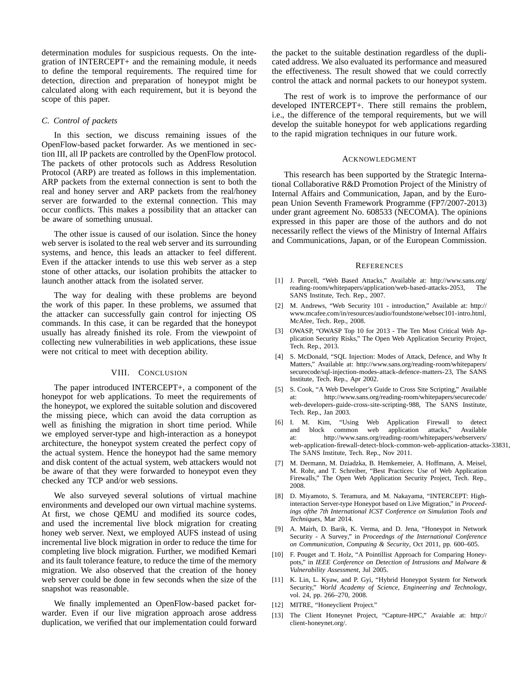determination modules for suspicious requests. On the integration of INTERCEPT+ and the remaining module, it needs to define the temporal requirements. The required time for detection, direction and preparation of honeypot might be calculated along with each requirement, but it is beyond the scope of this paper.

# *C. Control of packets*

In this section, we discuss remaining issues of the OpenFlow-based packet forwarder. As we mentioned in section III, all IP packets are controlled by the OpenFlow protocol. The packets of other protocols such as Address Resolution Protocol (ARP) are treated as follows in this implementation. ARP packets from the external connection is sent to both the real and honey server and ARP packets from the real/honey server are forwarded to the external connection. This may occur conflicts. This makes a possibility that an attacker can be aware of something unusual.

The other issue is caused of our isolation. Since the honey web server is isolated to the real web server and its surrounding systems, and hence, this leads an attacker to feel different. Even if the attacker intends to use this web server as a step stone of other attacks, our isolation prohibits the attacker to launch another attack from the isolated server.

The way for dealing with these problems are beyond the work of this paper. In these problems, we assumed that the attacker can successfully gain control for injecting OS commands. In this case, it can be regarded that the honeypot usually has already finished its role. From the viewpoint of collecting new vulnerabilities in web applications, these issue were not critical to meet with deception ability.

#### VIII. CONCLUSION

The paper introduced INTERCEPT+, a component of the honeypot for web applications. To meet the requirements of the honeypot, we explored the suitable solution and discovered the missing piece, which can avoid the data corruption as well as finishing the migration in short time period. While we employed server-type and high-interaction as a honeypot architecture, the honeypot system created the perfect copy of the actual system. Hence the honeypot had the same memory and disk content of the actual system, web attackers would not be aware of that they were forwarded to honeypot even they checked any TCP and/or web sessions.

We also surveyed several solutions of virtual machine environments and developed our own virtual machine systems. At first, we chose QEMU and modified its source codes, and used the incremental live block migration for creating honey web server. Next, we employed AUFS instead of using incremental live block migration in order to reduce the time for completing live block migration. Further, we modified Kemari and its fault tolerance feature, to reduce the time of the memory migration. We also observed that the creation of the honey web server could be done in few seconds when the size of the snapshot was reasonable.

We finally implemented an OpenFlow-based packet forwarder. Even if our live migration approach arose address duplication, we verified that our implementation could forward the packet to the suitable destination regardless of the duplicated address. We also evaluated its performance and measured the effectiveness. The result showed that we could correctly control the attack and normal packets to our honeypot system.

The rest of work is to improve the performance of our developed INTERCEPT+. There still remains the problem, i.e., the difference of the temporal requirements, but we will develop the suitable honeypot for web applications regarding to the rapid migration techniques in our future work.

#### ACKNOWLEDGMENT

This research has been supported by the Strategic International Collaborative R&D Promotion Project of the Ministry of Internal Affairs and Communication, Japan, and by the European Union Seventh Framework Programme (FP7/2007-2013) under grant agreement No. 608533 (NECOMA). The opinions expressed in this paper are those of the authors and do not necessarily reflect the views of the Ministry of Internal Affairs and Communications, Japan, or of the European Commission.

#### **REFERENCES**

- [1] J. Purcell, "Web Based Attacks," Available at: http://www.sans.org/ reading-room/whitepapers/application/web-based-attacks-2053, The SANS Institute, Tech. Rep., 2007.
- [2] M. Andrews, "Web Security 101 introduction," Available at: http:// www.mcafee.com/in/resources/audio/foundstone/websec101-intro.html, McAfee, Tech. Rep., 2008.
- [3] OWASP, "OWASP Top 10 for 2013 The Ten Most Critical Web Application Security Risks," The Open Web Application Security Project, Tech. Rep., 2013.
- [4] S. McDonald, "SQL Injection: Modes of Attack, Defence, and Why It Matters," Available at: http://www.sans.org/reading-room/whitepapers/ securecode/sql-injection-modes-attack-defence-matters-23, The SANS Institute, Tech. Rep., Apr 2002.
- [5] S. Cook, "A Web Developer's Guide to Cross Site Scripting," Available at: http://www.sans.org/reading-room/whitepapers/securecode/ web-developers-guide-cross-site-scripting-988, The SANS Institute, Tech. Rep., Jan 2003.
- [6] I. M. Kim, "Using Web Application Firewall to detect block common web application attacks," Available at: http://www.sans.org/reading-room/whitepapers/webservers/ web-application-firewall-detect-block-common-web-application-attacks-33831, The SANS Institute, Tech. Rep., Nov 2011.
- [7] M. Dermann, M. Dziadzka, B. Hemkemeier, A. Hoffmann, A. Meisel, M. Rohr, and T. Schreiber, "Best Practices: Use of Web Application Firewalls," The Open Web Application Security Project, Tech. Rep., 2008.
- [8] D. Miyamoto, S. Teramura, and M. Nakayama, "INTERCEPT: Highinteraction Server-type Honeypot based on Live Migration," in *Proceedings ofthe 7th International ICST Conference on Simulation Tools and Techniques*, Mar 2014.
- [9] A. Mairh, D. Barik, K. Verma, and D. Jena, "Honeypot in Network Security - A Survey," in *Proceedngs of the International Conference on Communication, Computing & Security*, Oct 2011, pp. 600–605.
- [10] F. Pouget and T. Holz, "A Pointillist Approach for Comparing Honeypots," in *IEEE Conference on Detection of Intrusions and Malware & Vulnerability Assessment*, Jul 2005.
- [11] K. Lin, L. Kyaw, and P. Gyi, "Hybrid Honeypot System for Network Security," *World Academy of Science, Engineering and Technology*, vol. 24, pp. 266–270, 2008.
- [12] MITRE, "Honeyclient Project."
- [13] The Client Honeynet Project, "Capture-HPC," Avaiable at: http:// client-honeynet.org/.